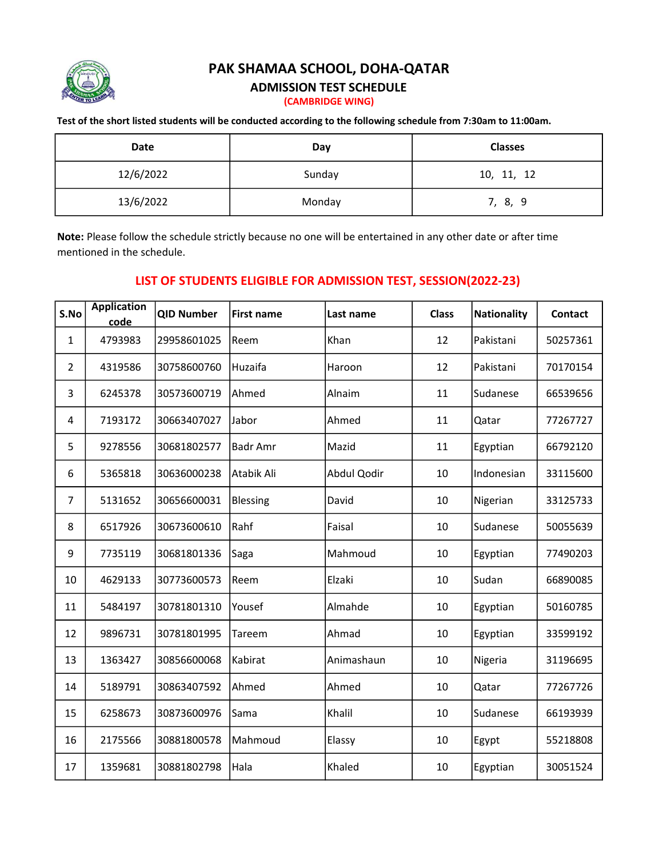

## PAK SHAMAA SCHOOL, DOHA-QATAR

## ADMISSION TEST SCHEDULE

(CAMBRIDGE WING)

## Test of the short listed students will be conducted according to the following schedule from 7:30am to 11:00am.

| Date      | Day    | <b>Classes</b> |  |  |
|-----------|--------|----------------|--|--|
| 12/6/2022 | Sunday | 10, 11, 12     |  |  |
| 13/6/2022 | Monday | 7, 8, 9        |  |  |

Note: Please follow the schedule strictly because no one will be entertained in any other date or after time mentioned in the schedule.

## LIST OF STUDENTS ELIGIBLE FOR ADMISSION TEST, SESSION(2022-23)

| S.No           | <b>Application</b><br>code | <b>QID Number</b> | <b>First name</b> | Last name   | <b>Class</b> | <b>Nationality</b> | <b>Contact</b> |
|----------------|----------------------------|-------------------|-------------------|-------------|--------------|--------------------|----------------|
| 1              | 4793983                    | 29958601025       | Reem              | Khan        | 12           | Pakistani          | 50257361       |
| $\overline{2}$ | 4319586                    | 30758600760       | Huzaifa           | Haroon      | 12           | Pakistani          | 70170154       |
| 3              | 6245378                    | 30573600719       | Ahmed             | Alnaim      | 11           | Sudanese           | 66539656       |
| 4              | 7193172                    | 30663407027       | Jabor             | Ahmed       | 11           | Qatar              | 77267727       |
| 5              | 9278556                    | 30681802577       | <b>Badr Amr</b>   | Mazid       | 11           | Egyptian           | 66792120       |
| 6              | 5365818                    | 30636000238       | Atabik Ali        | Abdul Qodir | 10           | Indonesian         | 33115600       |
| 7              | 5131652                    | 30656600031       | <b>Blessing</b>   | David       | 10           | Nigerian           | 33125733       |
| 8              | 6517926                    | 30673600610       | Rahf              | Faisal      | 10           | Sudanese           | 50055639       |
| 9              | 7735119                    | 30681801336       | Saga              | Mahmoud     | 10           | Egyptian           | 77490203       |
| 10             | 4629133                    | 30773600573       | Reem              | Elzaki      | 10           | Sudan              | 66890085       |
| 11             | 5484197                    | 30781801310       | Yousef            | Almahde     | 10           | Egyptian           | 50160785       |
| 12             | 9896731                    | 30781801995       | Tareem            | Ahmad       | 10           | Egyptian           | 33599192       |
| 13             | 1363427                    | 30856600068       | Kabirat           | Animashaun  | 10           | Nigeria            | 31196695       |
| 14             | 5189791                    | 30863407592       | Ahmed             | Ahmed       | 10           | Qatar              | 77267726       |
| 15             | 6258673                    | 30873600976       | Sama              | Khalil      | 10           | Sudanese           | 66193939       |
| 16             | 2175566                    | 30881800578       | Mahmoud           | Elassy      | 10           | Egypt              | 55218808       |
| 17             | 1359681                    | 30881802798       | Hala              | Khaled      | 10           | Egyptian           | 30051524       |